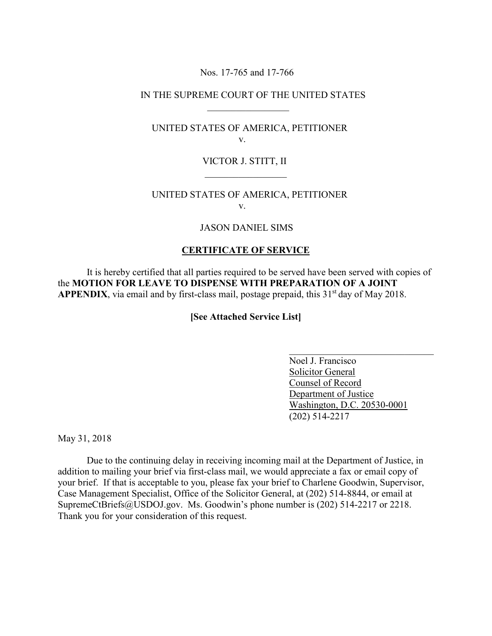### Nos. 17-765 and 17-766

 $\overline{\phantom{a}}$  ,  $\overline{\phantom{a}}$  ,  $\overline{\phantom{a}}$  ,  $\overline{\phantom{a}}$  ,  $\overline{\phantom{a}}$  ,  $\overline{\phantom{a}}$  ,  $\overline{\phantom{a}}$  ,  $\overline{\phantom{a}}$  ,  $\overline{\phantom{a}}$  ,  $\overline{\phantom{a}}$  ,  $\overline{\phantom{a}}$  ,  $\overline{\phantom{a}}$  ,  $\overline{\phantom{a}}$  ,  $\overline{\phantom{a}}$  ,  $\overline{\phantom{a}}$  ,  $\overline{\phantom{a}}$ 

# IN THE SUPREME COURT OF THE UNITED STATES

## UNITED STATES OF AMERICA, PETITIONER v.

### VICTOR J. STITT, II

# UNITED STATES OF AMERICA, PETITIONER v.

### JASON DANIEL SIMS

#### **CERTIFICATE OF SERVICE**

It is hereby certified that all parties required to be served have been served with copies of the **MOTION FOR LEAVE TO DISPENSE WITH PREPARATION OF A JOINT APPENDIX**, via email and by first-class mail, postage prepaid, this 31<sup>st</sup> day of May 2018.

#### **[See Attached Service List]**

 $\mathcal{L}_\text{max}$  , which is a set of the set of the set of the set of the set of the set of the set of the set of the set of the set of the set of the set of the set of the set of the set of the set of the set of the set of

 Noel J. Francisco Solicitor General Counsel of Record Department of Justice Washington, D.C. 20530-0001 (202) 514-2217

May 31, 2018

Due to the continuing delay in receiving incoming mail at the Department of Justice, in addition to mailing your brief via first-class mail, we would appreciate a fax or email copy of your brief. If that is acceptable to you, please fax your brief to Charlene Goodwin, Supervisor, Case Management Specialist, Office of the Solicitor General, at (202) 514-8844, or email at SupremeCtBriefs@USDOJ.gov. Ms. Goodwin's phone number is (202) 514-2217 or 2218. Thank you for your consideration of this request.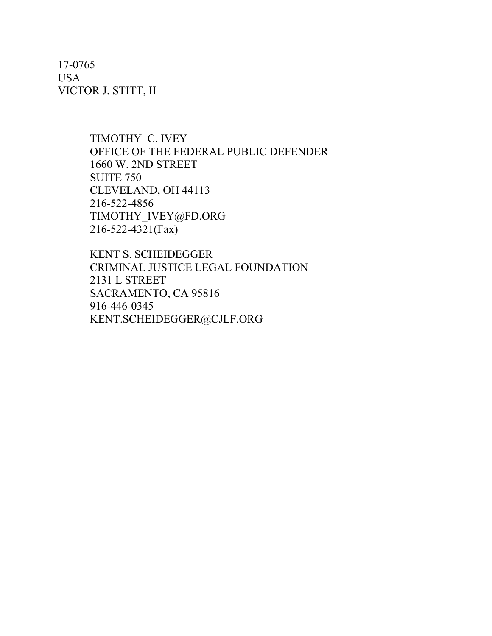17-0765 USA VICTOR J. STITT, II

> TIMOTHY C. IVEY OFFICE OF THE FEDERAL PUBLIC DEFENDER 1660 W. 2ND STREET SUITE 750 CLEVELAND, OH 44113 216-522-4856 TIMOTHY\_IVEY@FD.ORG 216-522-4321(Fax)

KENT S. SCHEIDEGGER CRIMINAL JUSTICE LEGAL FOUNDATION 2131 L STREET SACRAMENTO, CA 95816 916-446-0345 KENT.SCHEIDEGGER@CJLF.ORG